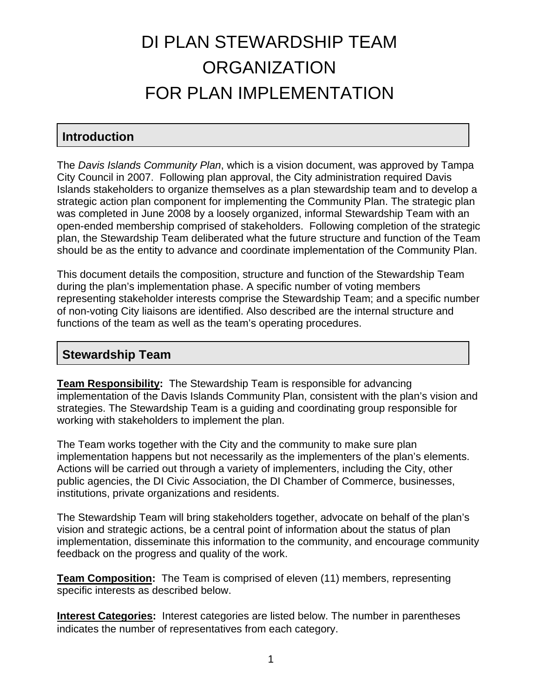# DI PLAN STEWARDSHIP TEAM **ORGANIZATION** FOR PLAN IMPLEMENTATION

# **Introduction**

The *Davis Islands Community Plan*, which is a vision document, was approved by Tampa City Council in 2007. Following plan approval, the City administration required Davis Islands stakeholders to organize themselves as a plan stewardship team and to develop a strategic action plan component for implementing the Community Plan. The strategic plan was completed in June 2008 by a loosely organized, informal Stewardship Team with an open-ended membership comprised of stakeholders. Following completion of the strategic plan, the Stewardship Team deliberated what the future structure and function of the Team should be as the entity to advance and coordinate implementation of the Community Plan.

This document details the composition, structure and function of the Stewardship Team during the plan's implementation phase. A specific number of voting members representing stakeholder interests comprise the Stewardship Team; and a specific number of non-voting City liaisons are identified. Also described are the internal structure and functions of the team as well as the team's operating procedures.

### **Stewardship Team**

**Team Responsibility:** The Stewardship Team is responsible for advancing implementation of the Davis Islands Community Plan, consistent with the plan's vision and strategies. The Stewardship Team is a guiding and coordinating group responsible for working with stakeholders to implement the plan.

The Team works together with the City and the community to make sure plan implementation happens but not necessarily as the implementers of the plan's elements. Actions will be carried out through a variety of implementers, including the City, other public agencies, the DI Civic Association, the DI Chamber of Commerce, businesses, institutions, private organizations and residents.

The Stewardship Team will bring stakeholders together, advocate on behalf of the plan's vision and strategic actions, be a central point of information about the status of plan implementation, disseminate this information to the community, and encourage community feedback on the progress and quality of the work.

**Team Composition:** The Team is comprised of eleven (11) members, representing specific interests as described below.

**Interest Categories:** Interest categories are listed below. The number in parentheses indicates the number of representatives from each category.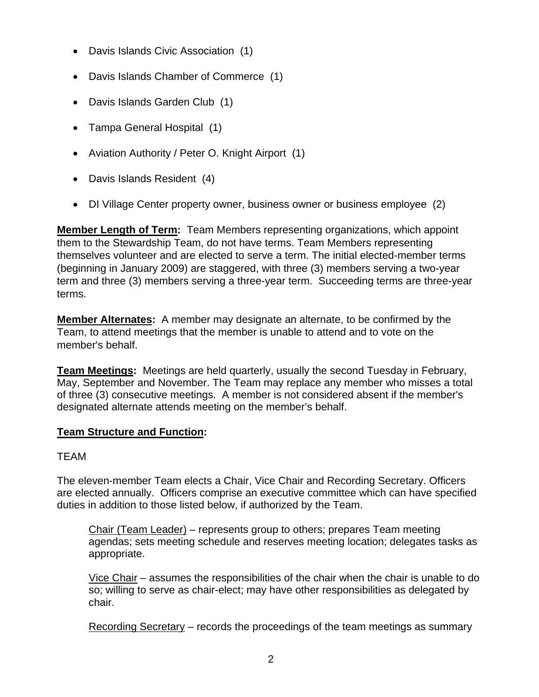- Davis Islands Civic Association (1)
- Davis Islands Chamber of Commerce (1)
- Davis Islands Garden Club (1)
- Tampa General Hospital (1)
- Aviation Authority / Peter O. Knight Airport (1)
- Davis Islands Resident (4)
- DI Village Center property owner, business owner or business employee (2)

**Member Length of Term:** Team Members representing organizations, which appoint them to the Stewardship Team, do not have terms. Team Members representing themselves volunteer and are elected to serve a term. The initial elected-member terms (beginning in January 2009) are staggered, with three (3) members serving a two-year term and three (3) members serving a three-year term. Succeeding terms are three-year terms.

**Member Alternates:** A member may designate an alternate, to be confirmed by the Team, to attend meetings that the member is unable to attend and to vote on the member's behalf.

**Team Meetings:** Meetings are held quarterly, usually the second Tuesday in February, May, September and November. The Team may replace any member who misses a total of three (3) consecutive meetings. A member is not considered absent if the member's designated alternate attends meeting on the member's behalf.

#### **Team Structure and Function:**

#### TEAM

The eleven-member Team elects a Chair, Vice Chair and Recording Secretary. Officers are elected annually. Officers comprise an executive committee which can have specified duties in addition to those listed below, if authorized by the Team.

Chair (Team Leader) – represents group to others; prepares Team meeting agendas; sets meeting schedule and reserves meeting location; delegates tasks as appropriate.

Vice Chair – assumes the responsibilities of the chair when the chair is unable to do so; willing to serve as chair-elect; may have other responsibilities as delegated by chair.

Recording Secretary – records the proceedings of the team meetings as summary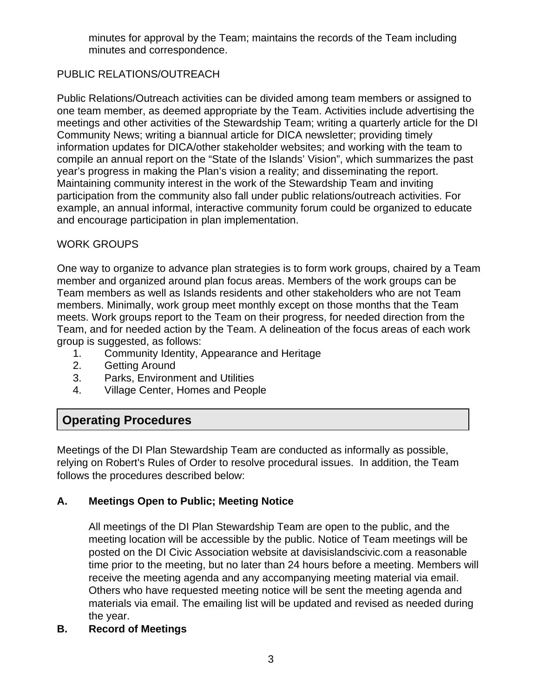minutes for approval by the Team; maintains the records of the Team including minutes and correspondence.

# PUBLIC RELATIONS/OUTREACH

Public Relations/Outreach activities can be divided among team members or assigned to one team member, as deemed appropriate by the Team. Activities include advertising the meetings and other activities of the Stewardship Team; writing a quarterly article for the DI Community News; writing a biannual article for DICA newsletter; providing timely information updates for DICA/other stakeholder websites; and working with the team to compile an annual report on the "State of the Islands' Vision", which summarizes the past year's progress in making the Plan's vision a reality; and disseminating the report. Maintaining community interest in the work of the Stewardship Team and inviting participation from the community also fall under public relations/outreach activities. For example, an annual informal, interactive community forum could be organized to educate and encourage participation in plan implementation.

#### WORK GROUPS

One way to organize to advance plan strategies is to form work groups, chaired by a Team member and organized around plan focus areas. Members of the work groups can be Team members as well as Islands residents and other stakeholders who are not Team members. Minimally, work group meet monthly except on those months that the Team meets. Work groups report to the Team on their progress, for needed direction from the Team, and for needed action by the Team. A delineation of the focus areas of each work group is suggested, as follows:

- 1. Community Identity, Appearance and Heritage
- 2. Getting Around
- 3. Parks, Environment and Utilities
- 4. Village Center, Homes and People

# **Operating Procedures**

Meetings of the DI Plan Stewardship Team are conducted as informally as possible, relying on Robert's Rules of Order to resolve procedural issues. In addition, the Team follows the procedures described below:

#### **A. Meetings Open to Public; Meeting Notice**

All meetings of the DI Plan Stewardship Team are open to the public, and the meeting location will be accessible by the public. Notice of Team meetings will be posted on the DI Civic Association website at davisislandscivic.com a reasonable time prior to the meeting, but no later than 24 hours before a meeting. Members will receive the meeting agenda and any accompanying meeting material via email. Others who have requested meeting notice will be sent the meeting agenda and materials via email. The emailing list will be updated and revised as needed during the year.

#### **B. Record of Meetings**